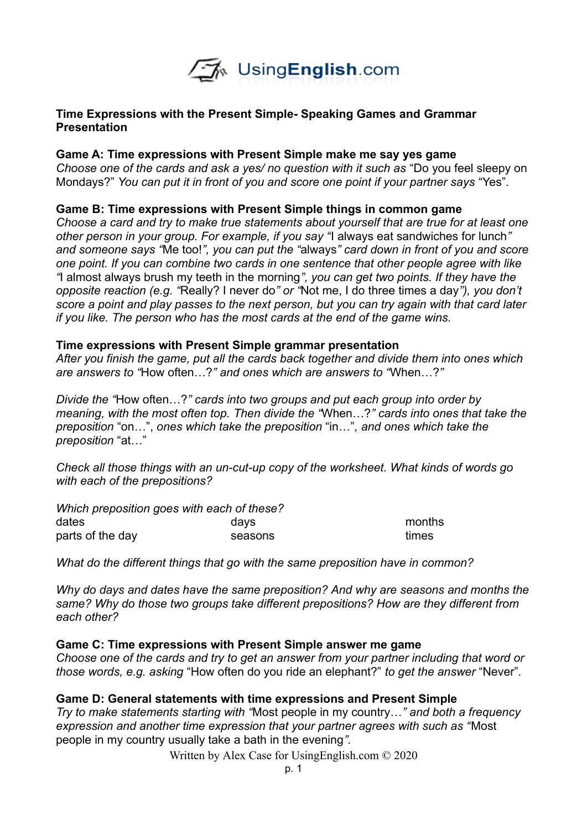

## **Time Expressions with the Present Simple- Speaking Games and Grammar Presentation**

### **Game A: Time expressions with Present Simple make me say yes game**

*Choose one of the cards and ask a yes/ no question with it such as* "Do you feel sleepy on Mondays?" *You can put it in front of you and score one point if your partner says* "Yes"*.* 

### **Game B: Time expressions with Present Simple things in common game**

*Choose a card and try to make true statements about yourself that are true for at least one other person in your group. For example, if you say "*I always eat sandwiches for lunch*" and someone says "*Me too!*", you can put the "*always*" card down in front of you and score one point. If you can combine two cards in one sentence that other people agree with like "*I almost always brush my teeth in the morning*", you can get two points. If they have the opposite reaction (e.g. "*Really? I never do*" or "*Not me, I do three times a day*"), you don't score a point and play passes to the next person, but you can try again with that card later if you like. The person who has the most cards at the end of the game wins.* 

#### **Time expressions with Present Simple grammar presentation**

*After you finish the game, put all the cards back together and divide them into ones which are answers to "*How often…?*" and ones which are answers to "*When…?*"*

*Divide the "*How often…?*" cards into two groups and put each group into order by meaning, with the most often top. Then divide the "*When…?*" cards into ones that take the preposition* "on…", *ones which take the preposition* "in…"*, and ones which take the preposition* "at…"

*Check all those things with an un-cut-up copy of the worksheet. What kinds of words go with each of the prepositions?*

| Which preposition goes with each of these? |         |        |
|--------------------------------------------|---------|--------|
| dates                                      | davs    | months |
| parts of the day                           | seasons | times  |

*What do the different things that go with the same preposition have in common?*

*Why do days and dates have the same preposition? And why are seasons and months the same? Why do those two groups take different prepositions? How are they different from each other?*

## **Game C: Time expressions with Present Simple answer me game**

*Choose one of the cards and try to get an answer from your partner including that word or those words, e.g. asking* "How often do you ride an elephant?" *to get the answer* "Never"*.* 

## **Game D: General statements with time expressions and Present Simple**

*Try to make statements starting with "*Most people in my country…*" and both a frequency expression and another time expression that your partner agrees with such as "*Most people in my country usually take a bath in the evening*".* 

Written by Alex Case for UsingEnglish.com © 2020